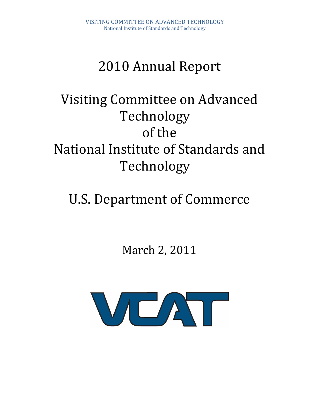# 2010 Annual Report

# Visiting Committee on Advanced Technology of the National Institute of Standards and Technology

# U.S. Department of Commerce

March 2, 2011

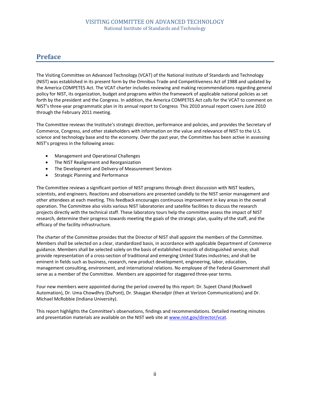## **Preface**

The Visiting Committee on Advanced Technology (VCAT) of the National Institute of Standards and Technology (NIST) was established in its present form by the Omnibus Trade and Competitiveness Act of 1988 and updated by the America COMPETES Act. The VCAT charter includes reviewing and making recommendations regarding general policy for NIST, its organization, budget and programs within the framework of applicable national policies as set forth by the president and the Congress. In addition, the America COMPETES Act calls for the VCAT to comment on NIST's three‐year programmatic plan in its annual report to Congress This 2010 annual report covers June 2010 through the February 2011 meeting.

The Committee reviews the Institute's strategic direction, performance and policies, and provides the Secretary of Commerce, Congress, and other stakeholders with information on the value and relevance of NIST to the U.S. science and technology base and to the economy. Over the past year, the Committee has been active in assessing NIST's progress in the following areas:

- Management and Operational Challenges
- The NIST Realignment and Reorganization
- The Development and Delivery of Measurement Services
- Strategic Planning and Performance

The Committee reviews a significant portion of NIST programs through direct discussion with NIST leaders, scientists, and engineers. Reactions and observations are presented candidly to the NIST senior management and other attendees at each meeting. This feedback encourages continuous improvement in key areas in the overall operation. The Committee also visits various NIST laboratories and satellite facilities to discuss the research projects directly with the technical staff. These laboratory tours help the committee assess the impact of NIST research, determine their progress towards meeting the goals of the strategic plan, quality of the staff, and the efficacy of the facility infrastructure.

The charter of the Committee provides that the Director of NIST shall appoint the members of the Committee. Members shall be selected on a clear, standardized basis, in accordance with applicable Department of Commerce guidance. Members shall be selected solely on the basis of established records of distinguished service; shall provide representation of a cross‐section of traditional and emerging United States industries; and shall be eminent in fields such as business, research, new product development, engineering, labor, education, management consulting, environment, and international relations. No employee of the Federal Government shall serve as a member of the Committee. Members are appointed for staggered three-year terms.

Four new members were appointed during the period covered by this report: Dr. Sujeet Chand (Rockwell Automation), Dr. Uma Chowdhry (DuPont), Dr. Shaygan Kheradpir (then at Verizon Communications) and Dr. Michael McRobbie (Indiana University).

This report highlights the Committee's observations, findings and recommendations. Detailed meeting minutes and presentation materials are available on the NIST web site at www.nist.gov/director/vcat.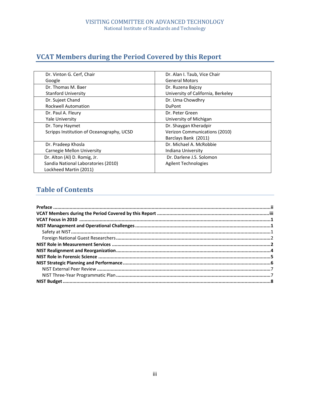# **VCAT Members during the Period Covered by this Report**

| Dr. Vinton G. Cerf, Chair                 | Dr. Alan I. Taub, Vice Chair       |  |  |  |
|-------------------------------------------|------------------------------------|--|--|--|
| Google                                    | <b>General Motors</b>              |  |  |  |
| Dr. Thomas M. Baer                        | Dr. Ruzena Bajcsy                  |  |  |  |
| <b>Stanford University</b>                | University of California, Berkeley |  |  |  |
| Dr. Sujeet Chand                          | Dr. Uma Chowdhry                   |  |  |  |
| <b>Rockwell Automation</b>                | <b>DuPont</b>                      |  |  |  |
| Dr. Paul A. Fleury                        | Dr. Peter Green                    |  |  |  |
| <b>Yale University</b>                    | University of Michigan             |  |  |  |
| Dr. Tony Haymet                           | Dr. Shaygan Kheradpir              |  |  |  |
| Scripps Institution of Oceanography, UCSD | Verizon Communications (2010)      |  |  |  |
|                                           | Barclays Bank (2011)               |  |  |  |
| Dr. Pradeep Khosla                        | Dr. Michael A. McRobbie            |  |  |  |
| Carnegie Mellon University                | Indiana University                 |  |  |  |
| Dr. Alton (Al) D. Romig, Jr.              | Dr. Darlene J.S. Solomon           |  |  |  |
| Sandia National Laboratories (2010)       | <b>Agilent Technologies</b>        |  |  |  |
| Lockheed Martin (2011)                    |                                    |  |  |  |

# **Table of Contents**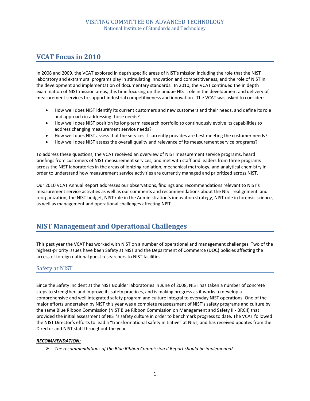# **VCAT Focus in 2010**

In 2008 and 2009, the VCAT explored in depth specific areas of NIST's mission including the role that the NIST laboratory and extramural programs play in stimulating innovation and competitiveness, and the role of NIST in the development and implementation of documentary standards. In 2010, the VCAT continued the in depth examination of NIST mission areas, this time focusing on the unique NIST role in the development and delivery of measurement services to support industrial competitiveness and innovation. The VCAT was asked to consider:

- How well does NIST identify its current customers and new customers and their needs, and define its role and approach in addressing those needs?
- How well does NIST position its long-term research portfolio to continuously evolve its capabilities to address changing measurement service needs?
- How well does NIST assess that the services it currently provides are best meeting the customer needs?
- How well does NIST assess the overall quality and relevance of its measurement service programs?

To address these questions, the VCAT received an overview of NIST measurement service programs, heard briefings from customers of NIST measurement services, and met with staff and leaders from three programs across the NIST laboratories in the areas of ionizing radiation, mechanical metrology, and analytical chemistry in order to understand how measurement service activities are currently managed and prioritized across NIST.

Our 2010 VCAT Annual Report addresses our observations, findings and recommendations relevant to NIST's measurement service activities as well as our comments and recommendations about the NIST realignment and reorganization, the NIST budget, NIST role in the Administration's innovation strategy, NIST role in forensic science, as well as management and operational challenges affecting NIST.

## **NIST Management and Operational Challenges**

This past year the VCAT has worked with NIST on a number of operational and management challenges. Two of the highest-priority issues have been Safety at NIST and the Department of Commerce (DOC) policies affecting the access of foreign national guest researchers to NIST facilities.

## Safety at NIST

Since the Safety Incident at the NIST Boulder laboratories in June of 2008, NIST has taken a number of concrete steps to strengthen and improve its safety practices, and is making progress as it works to develop a comprehensive and well integrated safety program and culture integral to everyday NIST operations. One of the major efforts undertaken by NIST this year was a complete reassessment of NIST's safety programs and culture by the same Blue Ribbon Commission (NIST Blue Ribbon Commission on Management and Safety II ‐ BRCII) that provided the initial assessment of NIST's safety culture in order to benchmark progress to date. The VCAT followed the NIST Director's efforts to lead a "transformational safety initiative" at NIST, and has received updates from the Director and NIST staff throughout the year.

#### *RECOMMENDATION:*

¾ *The recommendations of the Blue Ribbon Commission II Report should be implemented.*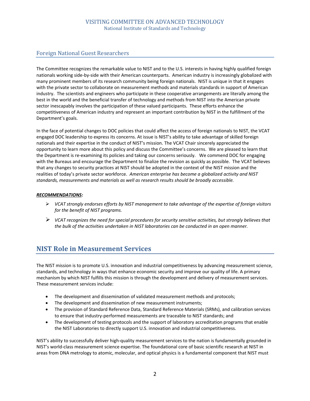## Foreign National Guest Researchers

The Committee recognizes the remarkable value to NIST and to the U.S. interests in having highly qualified foreign nationals working side‐by‐side with their American counterparts. American industry is increasingly globalized with many prominent members of its research community being foreign nationals. NIST is unique in that it engages with the private sector to collaborate on measurement methods and materials standards in support of American industry. The scientists and engineers who participate in these cooperative arrangements are literally among the best in the world and the beneficial transfer of technology and methods from NIST into the American private sector inescapably involves the participation of these valued participants. These efforts enhance the competitiveness of American industry and represent an important contribution by NIST in the fulfillment of the Department's goals.

In the face of potential changes to DOC policies that could affect the access of foreign nationals to NIST, the VCAT engaged DOC leadership to express its concerns. At issue is NIST's ability to take advantage of skilled foreign nationals and their expertise in the conduct of NIST's mission. The VCAT Chair sincerely appreciated the opportunity to learn more about this policy and discuss the Committee's concerns. We are pleased to learn that the Department is re-examining its policies and taking our concerns seriously. We commend DOC for engaging with the Bureaus and encourage the Department to finalize the revision as quickly as possible. The VCAT believes that any changes to security practices at NIST should be adopted in the context of the NIST mission and the realities of today's private sector workforce. *American enterprise has become a globalized activity and NIST standards, measurements and materials as well as research results should be broadly accessible.*

#### *RECOMMENDATIONS:*

- ¾ *VCAT strongly endorses efforts by NIST management to take advantage of the expertise of foreign visitors for the benefit of NIST programs.*
- ¾ *VCAT recognizes the need for special procedures for security sensitive activities, but strongly believes that the bulk of the activities undertaken in NIST laboratories can be conducted in an open manner.*

## **NIST Role in Measurement Services**

The NIST mission is to promote U.S. innovation and industrial competitiveness by advancing measurement science, standards, and technology in ways that enhance economic security and improve our quality of life. A primary mechanism by which NIST fulfills this mission is through the development and delivery of measurement services. These measurement services include:

- The development and dissemination of validated measurement methods and protocols;
- The development and dissemination of new measurement instruments;
- The provision of Standard Reference Data, Standard Reference Materials (SRMs), and calibration services to ensure that industry‐performed measurements are traceable to NIST standards; and
- The development of testing protocols and the support of laboratory accreditation programs that enable the NIST Laboratories to directly support U.S. innovation and industrial competitiveness.

NIST's ability to successfully deliver high‐quality measurement services to the nation is fundamentally grounded in NIST's world‐class measurement science expertise. The foundational core of basic scientific research at NIST in areas from DNA metrology to atomic, molecular, and optical physics is a fundamental component that NIST must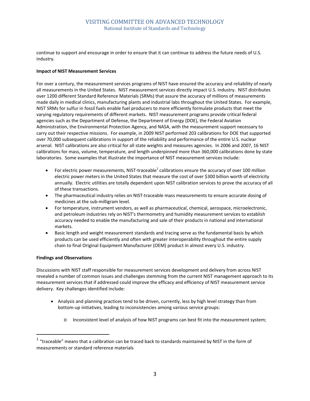continue to support and encourage in order to ensure that it can continue to address the future needs of U.S. industry.

#### **Impact of NIST Measurement Services**

For over a century, the measurement services programs of NIST have ensured the accuracy and reliability of nearly all measurements in the United States. NIST measurement services directly impact U.S. industry. NIST distributes over 1200 different Standard Reference Materials (SRMs) that assure the accuracy of millions of measurements made daily in medical clinics, manufacturing plants and industrial labs throughout the United States. For example, NIST SRMs for sulfur in fossil fuels enable fuel producers to more efficiently formulate products that meet the varying regulatory requirements of different markets. NIST measurement programs provide critical federal agencies such as the Department of Defense, the Department of Energy (DOE), the Federal Aviation Administration, the Environmental Protection Agency, and NASA, with the measurement support necessary to carry out their respective missions. For example, in 2009 NIST performed 203 calibrations for DOE that supported over 70,000 subsequent calibrations in support of the reliability and performance of the entire U.S. nuclear arsenal. NIST calibrations are also critical for all state weights and measures agencies. In 2006 and 2007, 16 NIST calibrations for mass, volume, temperature, and length underpinned more than 360,000 calibrations done by state laboratories. Some examples that illustrate the importance of NIST measurement services include:

- For electric power measurements, NIST-traceable<sup>1</sup> calibrations ensure the accuracy of over 100 million electric power meters in the United States that measure the cost of over \$300 billion worth of electricity annually. Electric utilities are totally dependent upon NIST calibration services to prove the accuracy of all of these transactions.
- The pharmaceutical industry relies on NIST-traceable mass measurements to ensure accurate dosing of medicines at the sub‐milligram level.
- For temperature, instrument vendors, as well as pharmaceutical, chemical, aerospace, microelectronic, and petroleum industries rely on NIST's thermometry and humidity measurement services to establish accuracy needed to enable the manufacturing and sale of their products in national and international markets.
- Basic length and weight measurement standards and tracing serve as the fundamental basis by which products can be used efficiently and often with greater interoperability throughout the entire supply chain to final Original Equipment Manufacturer (OEM) product in almost every U.S. industry.

#### **Findings and Observations**

Discussions with NIST staff responsible for measurement services development and delivery from across NIST revealed a number of common issues and challenges stemming from the current NIST management approach to its measurement services that if addressed could improve the efficacy and efficiency of NIST measurement service delivery. Key challenges identified include:

- Analysis and planning practices tend to be driven, currently, less by high level strategy than from bottom-up initiatives, leading to inconsistencies among various service groups:
	- o Inconsistent level of analysis of how NIST programs can best fit into the measurement system;

 $1$  "traceable" means that a calibration can be traced back to standards maintained by NIST in the form of measurements or standard reference materials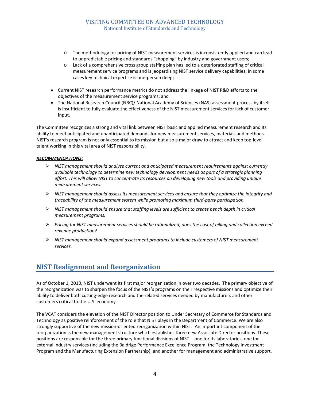- o The methodology for pricing of NIST measurement services is inconsistently applied and can lead to unpredictable pricing and standards "shopping" by industry and government users;
- o Lack of a comprehensive cross group staffing plan has led to a deteriorated staffing of critical measurement service programs and is jeopardizing NIST service delivery capabilities; in some cases key technical expertise is one‐person deep;
- Current NIST research performance metrics do not address the linkage of NIST R&D efforts to the objectives of the measurement service programs; and
- The National Research Council (NRC)/ National Academy of Sciences (NAS) assessment process by itself is insufficient to fully evaluate the effectiveness of the NIST measurement services for lack of customer input.

The Committee recognizes a strong and vital link between NIST basic and applied measurement research and its ability to meet anticipated and unanticipated demands for new measurement services, materials and methods. NIST's research program is not only essential to its mission but also a major draw to attract and keep top‐level talent working in this vital area of NIST responsibility.

#### *RECOMMENDATIONS:*

- ¾ *NIST management should analyze current and anticipated measurement requirements against currently available technology to determine new technology development needs as part of a strategic planning effort. This will allow NIST to concentrate its resources on developing new tools and providing unique measurement services.*
- ¾ *NIST management should assess its measurement services and ensure that they optimize the integrity and traceability of the measurement system while promoting maximum third‐party participation.*
- ¾ *NIST management should ensure that staffing levels are sufficient to create bench depth in critical measurement programs.*
- ¾ *Pricing for NIST measurement services should be rationalized; does the cost of billing and collection exceed revenue production?*
- ¾ *NIST management should expand assessment programs to include customers of NIST measurement services.*

# **NIST Realignment and Reorganization**

As of October 1, 2010, NIST underwent its first major reorganization in over two decades. The primary objective of the reorganization was to sharpen the focus of the NIST's programs on their respective missions and optimize their ability to deliver both cutting‐edge research and the related services needed by manufacturers and other customers critical to the U.S. economy.

The VCAT considers the elevation of the NIST Director position to Under Secretary of Commerce for Standards and Technology as positive reinforcement of the role that NIST plays in the Department of Commerce. We are also strongly supportive of the new mission-oriented reorganization within NIST. An important component of the reorganization is the new management structure which establishes three new Associate Director positions. These positions are responsible for the three primary functional divisions of NIST ‐‐ one for its laboratories, one for external industry services (including the Baldrige Performance Excellence Program, the Technology Investment Program and the Manufacturing Extension Partnership), and another for management and administrative support.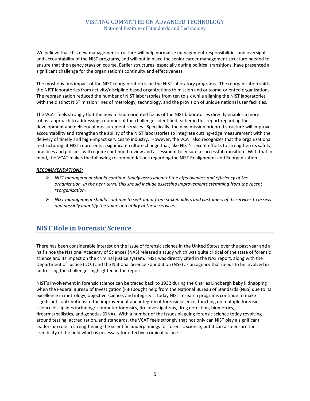We believe that this new management structure will help normalize management responsibilities and oversight and accountability of the NIST programs, and will put in place the senior career management structure needed to ensure that the agency stays on course. Earlier structures, especially during political transitions, have presented a significant challenge for the organization's continuity and effectiveness.

The most obvious impact of the NIST reorganization is on the NIST laboratory programs. The reorganization shifts the NIST laboratories from activity/discipline‐based organizations to mission and outcome‐oriented organizations. The reorganization reduced the number of NIST laboratories from ten to six while aligning the NIST laboratories with the distinct NIST mission lines of metrology, technology, and the provision of unique national user facilities.

The VCAT feels strongly that the new mission oriented focus of the NIST laboratories directly enables a more robust approach to addressing a number of the challenges identified earlier in this report regarding the development and delivery of measurement services. Specifically, the new mission oriented structure will improve accountability and strengthen the ability of the NIST laboratories to integrate cutting‐edge measurement with the delivery of timely and high‐impact services to industry. However, the VCAT also recognizes that the organizational restructuring at NIST represents a significant culture change that, like NIST's recent efforts to strengthen its safety practices and policies, will require continued review and assessment to ensure a successful transition. With that in mind, the VCAT makes the following recommendations regarding the NIST Realignment and Reorganization:

#### *RECOMMENDATIONS:*

- ¾ *NIST management should continue timely assessment of the effectiveness and efficiency of the organization. In the near term, this should include assessing improvements stemming from the recent reorganization.*
- ¾ *NIST management should continue to seek input from stakeholders and customers of its services to assess and possibly quantify the value and utility of these services.*

## **NIST Role in Forensic Science**

There has been considerable interest on the issue of forensic science in the United States over the past year and a half since the National Academy of Sciences (NAS) released a study which was quite critical of the state of forensic science and its impact on the criminal justice system. NIST was directly cited in the NAS report, along with the Department of Justice (DOJ) and the National Science Foundation (NSF) as an agency that needs to be involved in addressing the challenges highlighted in the report.

NIST's involvement in forensic science can be traced back to 1932 during the Charles Lindbergh baby kidnapping when the Federal Bureau of Investigation (FBI) sought help from the National Bureau of Standards (NBS) due to its excellence in metrology, objective science, and integrity. Today NIST research programs continue to make significant contributions to the improvement and integrity of forensic science, touching on multiple forensic science disciplines including: computer forensics, fire investigations, drug detection, biometrics, firearms/ballistics, and genetics (DNA). With a number of the issues plaguing forensic science today revolving around testing, accreditation, and standards, the VCAT feels strongly that not only can NIST play a significant leadership role in strengthening the scientific underpinnings for forensic science, but it can also ensure the credibility of the field which is necessary for effective criminal justice.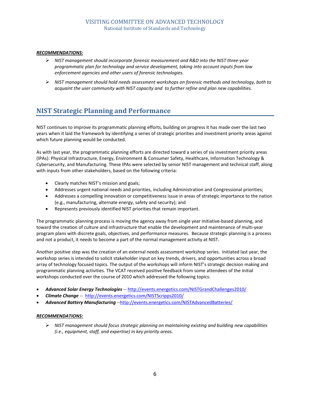#### *RECOMMENDATIONS:*

- ¾ *NIST management should incorporate forensic measurement and R&D into the NIST three‐year programmatic plan for technology and service development, taking into account inputs from law enforcement agencies and other users of forensic technologies.*
- ¾ *NIST management should hold needs assessment workshops on forensic methods and technology, both to acquaint the user community with NIST capacity and to further refine and plan new capabilities.*

# **NIST Strategic Planning and Performance**

NIST continues to improve its programmatic planning efforts, building on progress it has made over the last two years when it laid the framework by identifying a series of strategic priorities and investment priority areas against which future planning would be conducted.

As with last year, the programmatic planning efforts are directed toward a series of six investment priority areas (IPAs): Physical Infrastructure, Energy, Environment & Consumer Safety, Healthcare, Information Technology & Cybersecurity, and Manufacturing. These IPAs were selected by senior NIST management and technical staff, along with inputs from other stakeholders, based on the following criteria:

- Clearly matches NIST's mission and goals;
- Addresses urgent national needs and priorities, including Administration and Congressional priorities;
- Addresses a compelling innovation or competitiveness issue in areas of strategic importance to the nation (e.g., manufacturing, alternate energy, safety and security); and
- Represents previously identified NIST priorities that remain important.

The programmatic planning process is moving the agency away from single year initiative‐based planning, and toward the creation of culture and infrastructure that enable the development and maintenance of multi-year program plans with discrete goals, objectives, and performance measures. Because strategic planning is a process and not a product, it needs to become a part of the normal management activity at NIST.

Another positive step was the creation of an external needs assessment workshop series. Initiated last year, the workshop series is intended to solicit stakeholder input on key trends, drivers, and opportunities across a broad array of technology focused topics. The output of the workshops will inform NIST's strategic decision making and programmatic planning activities. The VCAT received positive feedback from some attendees of the initial workshops conducted over the course of 2010 which addressed the following topics:

- *Advanced Solar Energy Technologies* ‐‐ http://events.energetics.com/NISTGrandChallenges2010/
- *Climate Change* ‐‐ http://events.energetics.com/NISTScripps2010/
- *Advanced Battery Manufacturing* ‐‐http://events.energetics.com/NISTAdvancedBatteries/

#### *RECOMMENDATIONS:*

¾ *NIST management should focus strategic planning on maintaining existing and building new capabilities (i.e., equipment, staff, and expertise) in key priority areas.*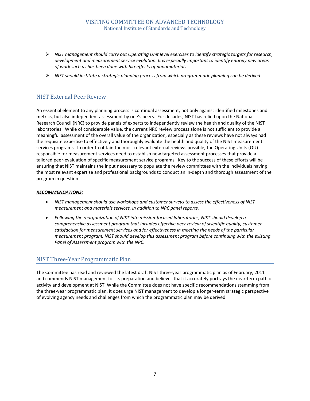- ¾ *NIST management should carry out Operating Unit level exercises to identify strategic targets for research, development and measurement service evolution. It is especially important to identify entirely new areas of work such as has been done with bio‐effects of nanomaterials.*
- ¾ *NIST should institute a strategic planning process from which programmatic planning can be derived.*

## NIST External Peer Review

An essential element to any planning process is continual assessment, not only against identified milestones and metrics, but also independent assessment by one's peers. For decades, NIST has relied upon the National Research Council (NRC) to provide panels of experts to independently review the health and quality of the NIST laboratories. While of considerable value, the current NRC review process alone is not sufficient to provide a meaningful assessment of the overall value of the organization, especially as these reviews have not always had the requisite expertise to effectively and thoroughly evaluate the health and quality of the NIST measurement services programs. In order to obtain the most relevant external reviews possible, the Operating Units (OU) responsible for measurement services need to establish new targeted assessment processes that provide a tailored peer‐evaluation of specific measurement service programs. Key to the success of these efforts will be ensuring that NIST maintains the input necessary to populate the review committees with the individuals having the most relevant expertise and professional backgrounds to conduct an in‐depth and thorough assessment of the program in question.

#### *RECOMMENDATIONS:*

- *NIST management should use workshops and customer surveys to assess the effectiveness of NIST measurement and materials services, in addition to NRC panel reports.*
- *Following the reorganization of NIST into mission‐focused laboratories, NIST should develop a comprehensive assessment program that includes effective peer review of scientific quality, customer satisfaction for measurement services and for effectiveness in meeting the needs of the particular measurement program. NIST should develop this assessment program before continuing with the existing Panel of Assessment program with the NRC.*

## NIST Three‐Year Programmatic Plan

The Committee has read and reviewed the latest draft NIST three‐year programmatic plan as of February, 2011 and commends NIST management for its preparation and believes that it accurately portrays the near‐term path of activity and development at NIST. While the Committee does not have specific recommendations stemming from the three‐year programmatic plan, it does urge NIST management to develop a longer‐term strategic perspective of evolving agency needs and challenges from which the programmatic plan may be derived.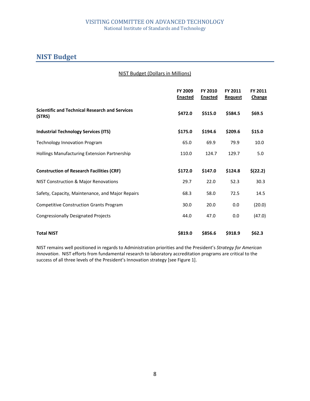# **NIST Budget**

| NIST Budget (Dollars in Millions) |  |
|-----------------------------------|--|
|-----------------------------------|--|

|                                                                 | <b>FY 2009</b><br><b>Enacted</b> | FY 2010<br><b>Enacted</b> | FY 2011<br><b>Request</b> | FY 2011<br><b>Change</b> |
|-----------------------------------------------------------------|----------------------------------|---------------------------|---------------------------|--------------------------|
| <b>Scientific and Technical Research and Services</b><br>(STRS) | \$472.0                          | \$515.0                   | \$584.5                   | \$69.5                   |
| <b>Industrial Technology Services (ITS)</b>                     | \$175.0                          | \$194.6                   | \$209.6                   | \$15.0                   |
| <b>Technology Innovation Program</b>                            | 65.0                             | 69.9                      | 79.9                      | 10.0                     |
| Hollings Manufacturing Extension Partnership                    | 110.0                            | 124.7                     | 129.7                     | 5.0                      |
| <b>Construction of Research Facilities (CRF)</b>                | \$172.0                          | \$147.0                   | \$124.8                   | \$(22.2)                 |
| NIST Construction & Major Renovations                           | 29.7                             | 22.0                      | 52.3                      | 30.3                     |
| Safety, Capacity, Maintenance, and Major Repairs                | 68.3                             | 58.0                      | 72.5                      | 14.5                     |
| <b>Competitive Construction Grants Program</b>                  | 30.0                             | 20.0                      | 0.0                       | (20.0)                   |
| <b>Congressionally Designated Projects</b>                      | 44.0                             | 47.0                      | 0.0                       | (47.0)                   |
| <b>Total NIST</b>                                               | \$819.0                          | \$856.6                   | \$918.9                   | \$62.3\$                 |

NIST remains well positioned in regards to Administration priorities and the President's *Strategy for American Innovation*. NIST efforts from fundamental research to laboratory accreditation programs are critical to the success of all three levels of the President's Innovation strategy [see Figure 1].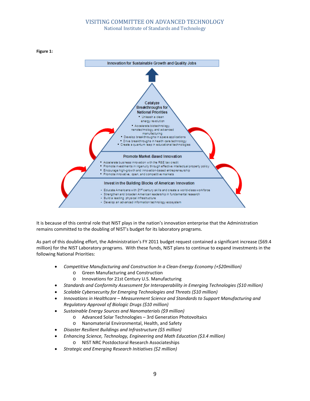



It is because of this central role that NIST plays in the nation's innovation enterprise that the Administration remains committed to the doubling of NIST's budget for its laboratory programs.

As part of this doubling effort, the Administration's FY 2011 budget request contained a significant increase (\$69.4 million) for the NIST Laboratory programs. With these funds, NIST plans to continue to expand investments in the following National Priorities:

- *Competitive Manufacturing and Construction In a Clean‐Energy Economy (+\$20million)*
	- o Green Manufacturing and Construction
	- o Innovations for 21st Century U.S. Manufacturing
- *Standards and Conformity Assessment for Interoperability in Emerging Technologies (\$10 million)*
- *Scalable Cybersecurity for Emerging Technologies and Threats (\$10 million)*
- *Innovations in Healthcare – Measurement Science and Standards to Support Manufacturing and Regulatory Approval of Biologic Drugs (\$10 million)*
- *Sustainable Energy Sources and Nanomaterials (\$9 million)*
	- o Advanced Solar Technologies 3rd Generation Photovoltaics
	- o Nanomaterial Environmental, Health, and Safety
- *Disaster Resilient Buildings and Infrastructure (\$5 million)*
- *Enhancing Science, Technology, Engineering and Math Education (\$3.4 million)*
	- o NIST NRC Postdoctoral Research Associateships
- *Strategic and Emerging Research Initiatives (\$2 million)*